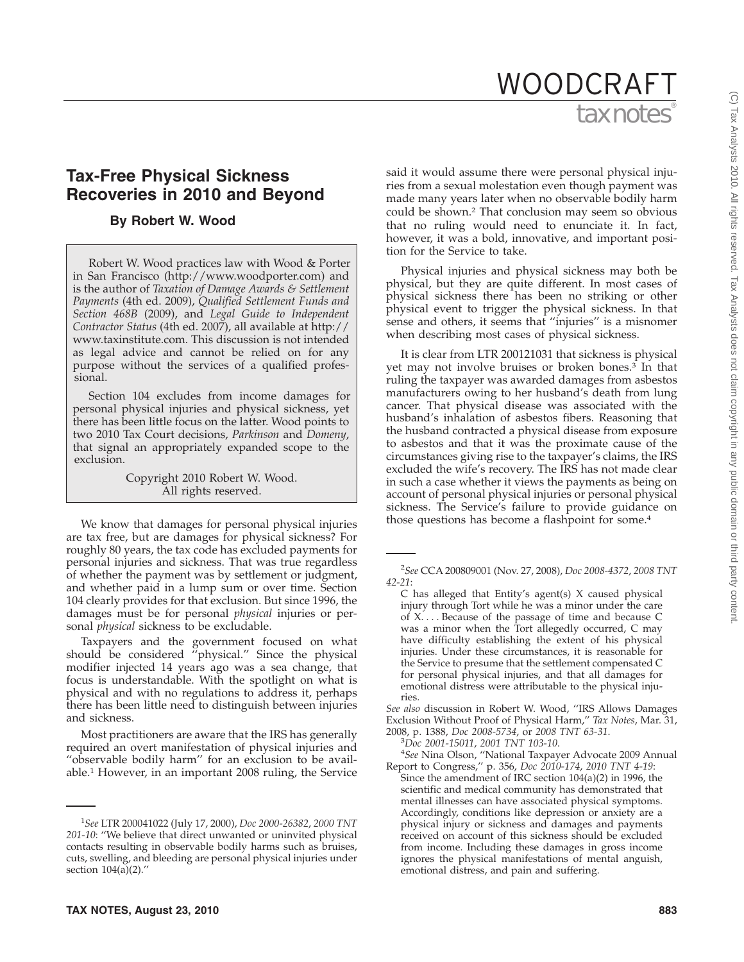# tax notes WOODCRAFT

## **Tax-Free Physical Sickness Recoveries in 2010 and Beyond**

#### **By Robert W. Wood**

Robert W. Wood practices law with Wood & Porter in San Francisco (http://www.woodporter.com) and is the author of *Taxation of Damage Awards & Settlement Payments* (4th ed. 2009), *Qualified Settlement Funds and Section 468B* (2009), and *Legal Guide to Independent Contractor Status* (4th ed. 2007), all available at http:// www.taxinstitute.com. This discussion is not intended as legal advice and cannot be relied on for any purpose without the services of a qualified professional.

Section 104 excludes from income damages for personal physical injuries and physical sickness, yet there has been little focus on the latter. Wood points to two 2010 Tax Court decisions, *Parkinson* and *Domeny*, that signal an appropriately expanded scope to the exclusion.

> Copyright 2010 Robert W. Wood. All rights reserved.

We know that damages for personal physical injuries are tax free, but are damages for physical sickness? For roughly 80 years, the tax code has excluded payments for personal injuries and sickness. That was true regardless of whether the payment was by settlement or judgment, and whether paid in a lump sum or over time. Section 104 clearly provides for that exclusion. But since 1996, the damages must be for personal *physical* injuries or personal *physical* sickness to be excludable.

Taxpayers and the government focused on what should be considered ''physical.'' Since the physical modifier injected 14 years ago was a sea change, that focus is understandable. With the spotlight on what is physical and with no regulations to address it, perhaps there has been little need to distinguish between injuries and sickness.

Most practitioners are aware that the IRS has generally required an overt manifestation of physical injuries and "observable bodily harm" for an exclusion to be available.1 However, in an important 2008 ruling, the Service

said it would assume there were personal physical injuries from a sexual molestation even though payment was made many years later when no observable bodily harm could be shown.2 That conclusion may seem so obvious that no ruling would need to enunciate it. In fact, however, it was a bold, innovative, and important position for the Service to take.

Physical injuries and physical sickness may both be physical, but they are quite different. In most cases of physical sickness there has been no striking or other physical event to trigger the physical sickness. In that sense and others, it seems that ''injuries'' is a misnomer when describing most cases of physical sickness.

It is clear from LTR 200121031 that sickness is physical yet may not involve bruises or broken bones. $3$  In that ruling the taxpayer was awarded damages from asbestos manufacturers owing to her husband's death from lung cancer. That physical disease was associated with the husband's inhalation of asbestos fibers. Reasoning that the husband contracted a physical disease from exposure to asbestos and that it was the proximate cause of the circumstances giving rise to the taxpayer's claims, the IRS excluded the wife's recovery. The IRS has not made clear in such a case whether it views the payments as being on account of personal physical injuries or personal physical sickness. The Service's failure to provide guidance on those questions has become a flashpoint for some.4

2 *See* CCA 200809001 (Nov. 27, 2008), *Doc 2008-4372*, *2008 TNT 42-21*:

C has alleged that Entity's agent(s) X caused physical injury through Tort while he was a minor under the care of X. . . . Because of the passage of time and because C was a minor when the Tort allegedly occurred, C may have difficulty establishing the extent of his physical injuries. Under these circumstances, it is reasonable for the Service to presume that the settlement compensated C for personal physical injuries, and that all damages for emotional distress were attributable to the physical injuries.

*See also* discussion in Robert W. Wood, ''IRS Allows Damages Exclusion Without Proof of Physical Harm,'' *Tax Notes*, Mar. 31,

2008, p. 1388, *Doc 2008-5734*, or *2008 TNT 63-31*. <sup>3</sup>

<sup>3</sup>Doc 2001-15011, 2001 TNT 103-10.<br><sup>4</sup>See Nina Olson, ''National Taxpayer Advocate 2009 Annual Report to Congress,'' p. 356, *Doc 2010-174*, *2010 TNT 4-19*:

Since the amendment of IRC section 104(a)(2) in 1996, the scientific and medical community has demonstrated that mental illnesses can have associated physical symptoms. Accordingly, conditions like depression or anxiety are a physical injury or sickness and damages and payments received on account of this sickness should be excluded from income. Including these damages in gross income ignores the physical manifestations of mental anguish, emotional distress, and pain and suffering.

<sup>1</sup> *See* LTR 200041022 (July 17, 2000), *Doc 2000-26382*, *2000 TNT 201-10*: ''We believe that direct unwanted or uninvited physical contacts resulting in observable bodily harms such as bruises, cuts, swelling, and bleeding are personal physical injuries under section 104(a)(2).''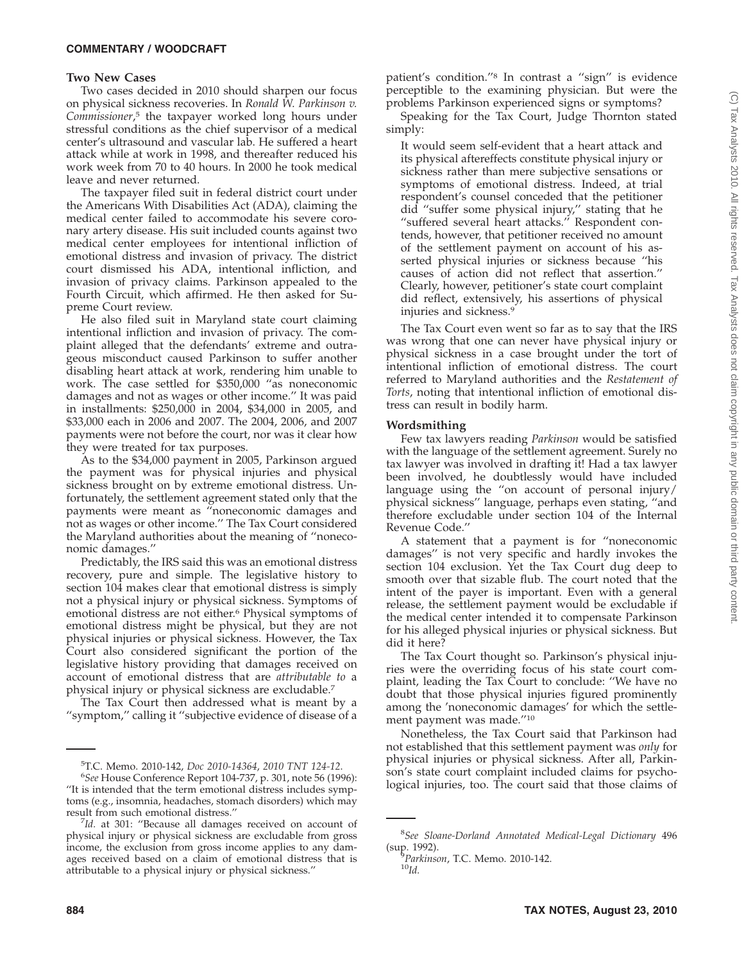#### **COMMENTARY / WOODCRAFT**

#### **Two New Cases**

Two cases decided in 2010 should sharpen our focus on physical sickness recoveries. In *Ronald W. Parkinson v. Commissioner*, <sup>5</sup> the taxpayer worked long hours under stressful conditions as the chief supervisor of a medical center's ultrasound and vascular lab. He suffered a heart attack while at work in 1998, and thereafter reduced his work week from 70 to 40 hours. In 2000 he took medical leave and never returned.

The taxpayer filed suit in federal district court under the Americans With Disabilities Act (ADA), claiming the medical center failed to accommodate his severe coronary artery disease. His suit included counts against two medical center employees for intentional infliction of emotional distress and invasion of privacy. The district court dismissed his ADA, intentional infliction, and invasion of privacy claims. Parkinson appealed to the Fourth Circuit, which affirmed. He then asked for Supreme Court review.

He also filed suit in Maryland state court claiming intentional infliction and invasion of privacy. The complaint alleged that the defendants' extreme and outrageous misconduct caused Parkinson to suffer another disabling heart attack at work, rendering him unable to work. The case settled for \$350,000 ''as noneconomic damages and not as wages or other income.'' It was paid in installments: \$250,000 in 2004, \$34,000 in 2005, and \$33,000 each in 2006 and 2007. The 2004, 2006, and 2007 payments were not before the court, nor was it clear how they were treated for tax purposes.

As to the \$34,000 payment in 2005, Parkinson argued the payment was for physical injuries and physical sickness brought on by extreme emotional distress. Unfortunately, the settlement agreement stated only that the payments were meant as ''noneconomic damages and not as wages or other income.'' The Tax Court considered the Maryland authorities about the meaning of ''noneconomic damages.''

Predictably, the IRS said this was an emotional distress recovery, pure and simple. The legislative history to section 104 makes clear that emotional distress is simply not a physical injury or physical sickness. Symptoms of emotional distress are not either.6 Physical symptoms of emotional distress might be physical, but they are not physical injuries or physical sickness. However, the Tax Court also considered significant the portion of the legislative history providing that damages received on account of emotional distress that are *attributable to* a physical injury or physical sickness are excludable.7

The Tax Court then addressed what is meant by a ''symptom,'' calling it ''subjective evidence of disease of a patient's condition.''8 In contrast a ''sign'' is evidence perceptible to the examining physician. But were the problems Parkinson experienced signs or symptoms?

Speaking for the Tax Court, Judge Thornton stated simply:

It would seem self-evident that a heart attack and its physical aftereffects constitute physical injury or sickness rather than mere subjective sensations or symptoms of emotional distress. Indeed, at trial respondent's counsel conceded that the petitioner did ''suffer some physical injury,'' stating that he ''suffered several heart attacks.'' Respondent contends, however, that petitioner received no amount of the settlement payment on account of his asserted physical injuries or sickness because ''his causes of action did not reflect that assertion.'' Clearly, however, petitioner's state court complaint did reflect, extensively, his assertions of physical injuries and sickness.9

The Tax Court even went so far as to say that the IRS was wrong that one can never have physical injury or physical sickness in a case brought under the tort of intentional infliction of emotional distress. The court referred to Maryland authorities and the *Restatement of Torts*, noting that intentional infliction of emotional distress can result in bodily harm.

#### **Wordsmithing**

Few tax lawyers reading *Parkinson* would be satisfied with the language of the settlement agreement. Surely no tax lawyer was involved in drafting it! Had a tax lawyer been involved, he doubtlessly would have included language using the ''on account of personal injury/ physical sickness'' language, perhaps even stating, ''and therefore excludable under section 104 of the Internal Revenue Code.''

A statement that a payment is for ''noneconomic damages'' is not very specific and hardly invokes the section 104 exclusion. Yet the Tax Court dug deep to smooth over that sizable flub. The court noted that the intent of the payer is important. Even with a general release, the settlement payment would be excludable if the medical center intended it to compensate Parkinson for his alleged physical injuries or physical sickness. But did it here?

The Tax Court thought so. Parkinson's physical injuries were the overriding focus of his state court complaint, leading the Tax Court to conclude: ''We have no doubt that those physical injuries figured prominently among the 'noneconomic damages' for which the settlement payment was made.''10

Nonetheless, the Tax Court said that Parkinson had not established that this settlement payment was *only* for physical injuries or physical sickness. After all, Parkinson's state court complaint included claims for psychological injuries, too. The court said that those claims of

<sup>&</sup>lt;sup>5</sup>T.C. Memo. 2010-142*, Doc 2010-14364, 2010 TNT 124-12.*<br><sup>6</sup>See House Conference Report 104-737 p. 301, pote 56 (199

*See* House Conference Report 104-737, p. 301, note 56 (1996): ''It is intended that the term emotional distress includes symptoms (e.g., insomnia, headaches, stomach disorders) which may result from such emotional distress."

*Id.* at 301: ''Because all damages received on account of physical injury or physical sickness are excludable from gross income, the exclusion from gross income applies to any damages received based on a claim of emotional distress that is attributable to a physical injury or physical sickness.''

<sup>8</sup> *See Sloane-Dorland Annotated Medical-Legal Dictionary* 496 (sup. 1992).

*Parkinson*, T.C. Memo. 2010-142. <sup>10</sup>*Id.*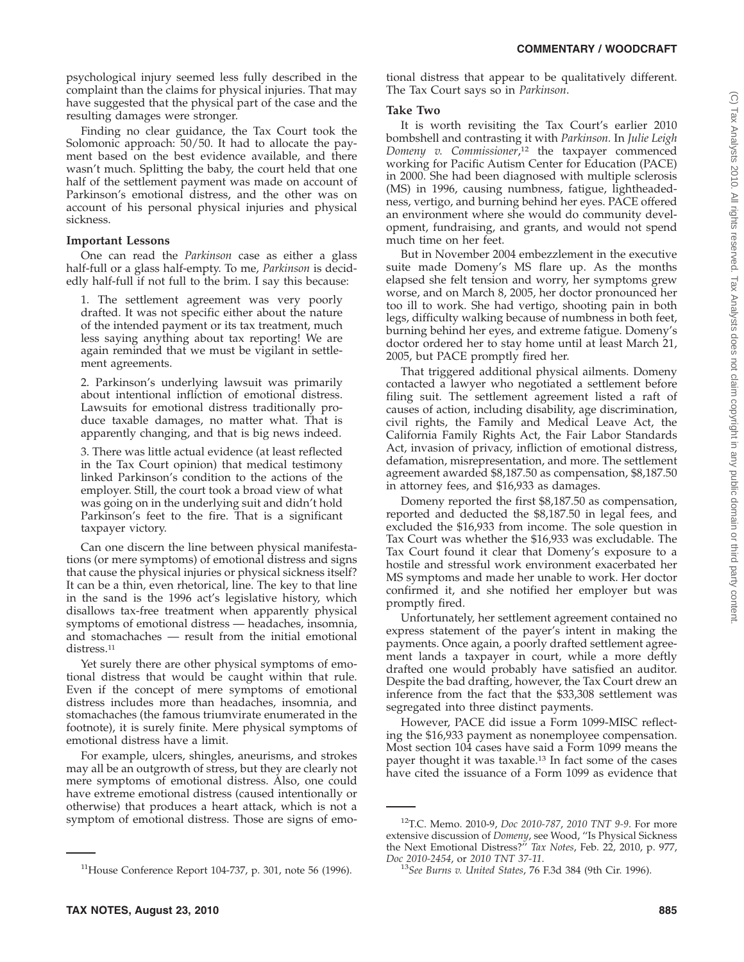psychological injury seemed less fully described in the complaint than the claims for physical injuries. That may have suggested that the physical part of the case and the resulting damages were stronger.

Finding no clear guidance, the Tax Court took the Solomonic approach: 50/50. It had to allocate the payment based on the best evidence available, and there wasn't much. Splitting the baby, the court held that one half of the settlement payment was made on account of Parkinson's emotional distress, and the other was on account of his personal physical injuries and physical sickness.

#### **Important Lessons**

One can read the *Parkinson* case as either a glass half-full or a glass half-empty. To me, *Parkinson* is decidedly half-full if not full to the brim. I say this because:

1. The settlement agreement was very poorly drafted. It was not specific either about the nature of the intended payment or its tax treatment, much less saying anything about tax reporting! We are again reminded that we must be vigilant in settlement agreements.

2. Parkinson's underlying lawsuit was primarily about intentional infliction of emotional distress. Lawsuits for emotional distress traditionally produce taxable damages, no matter what. That is apparently changing, and that is big news indeed.

3. There was little actual evidence (at least reflected in the Tax Court opinion) that medical testimony linked Parkinson's condition to the actions of the employer. Still, the court took a broad view of what was going on in the underlying suit and didn't hold Parkinson's feet to the fire. That is a significant taxpayer victory.

Can one discern the line between physical manifestations (or mere symptoms) of emotional distress and signs that cause the physical injuries or physical sickness itself? It can be a thin, even rhetorical, line. The key to that line in the sand is the 1996 act's legislative history, which disallows tax-free treatment when apparently physical symptoms of emotional distress — headaches, insomnia, and stomachaches — result from the initial emotional distress.<sup>11</sup>

Yet surely there are other physical symptoms of emotional distress that would be caught within that rule. Even if the concept of mere symptoms of emotional distress includes more than headaches, insomnia, and stomachaches (the famous triumvirate enumerated in the footnote), it is surely finite. Mere physical symptoms of emotional distress have a limit.

For example, ulcers, shingles, aneurisms, and strokes may all be an outgrowth of stress, but they are clearly not mere symptoms of emotional distress. Also, one could have extreme emotional distress (caused intentionally or otherwise) that produces a heart attack, which is not a symptom of emotional distress. Those are signs of emotional distress that appear to be qualitatively different. The Tax Court says so in *Parkinson*.

### **Take Two**

It is worth revisiting the Tax Court's earlier 2010 bombshell and contrasting it with *Parkinson.* In *Julie Leigh Domeny v. Commissioner*, <sup>12</sup> the taxpayer commenced working for Pacific Autism Center for Education (PACE) in 2000. She had been diagnosed with multiple sclerosis (MS) in 1996, causing numbness, fatigue, lightheadedness, vertigo, and burning behind her eyes. PACE offered an environment where she would do community development, fundraising, and grants, and would not spend much time on her feet.

But in November 2004 embezzlement in the executive suite made Domeny's MS flare up. As the months elapsed she felt tension and worry, her symptoms grew worse, and on March 8, 2005, her doctor pronounced her too ill to work. She had vertigo, shooting pain in both legs, difficulty walking because of numbness in both feet, burning behind her eyes, and extreme fatigue. Domeny's doctor ordered her to stay home until at least March 21, 2005, but PACE promptly fired her.

That triggered additional physical ailments. Domeny contacted a lawyer who negotiated a settlement before filing suit. The settlement agreement listed a raft of causes of action, including disability, age discrimination, civil rights, the Family and Medical Leave Act, the California Family Rights Act, the Fair Labor Standards Act, invasion of privacy, infliction of emotional distress, defamation, misrepresentation, and more. The settlement agreement awarded \$8,187.50 as compensation, \$8,187.50 in attorney fees, and \$16,933 as damages.

Domeny reported the first \$8,187.50 as compensation, reported and deducted the \$8,187.50 in legal fees, and excluded the \$16,933 from income. The sole question in Tax Court was whether the \$16,933 was excludable. The Tax Court found it clear that Domeny's exposure to a hostile and stressful work environment exacerbated her MS symptoms and made her unable to work. Her doctor confirmed it, and she notified her employer but was promptly fired.

Unfortunately, her settlement agreement contained no express statement of the payer's intent in making the payments. Once again, a poorly drafted settlement agreement lands a taxpayer in court, while a more deftly drafted one would probably have satisfied an auditor. Despite the bad drafting, however, the Tax Court drew an inference from the fact that the \$33,308 settlement was segregated into three distinct payments.

However, PACE did issue a Form 1099-MISC reflecting the \$16,933 payment as nonemployee compensation. Most section 104 cases have said a Form 1099 means the payer thought it was taxable.13 In fact some of the cases have cited the issuance of a Form 1099 as evidence that

<sup>11</sup>House Conference Report 104-737, p. 301, note 56 (1996).

<sup>12</sup>T.C. Memo. 2010-9, *Doc 2010-787*, *2010 TNT 9-9*. For more extensive discussion of *Domeny*, see Wood, ''Is Physical Sickness the Next Emotional Distress?'' *Tax Notes*, Feb. 22, 2010, p. 977,

*Doc 2010-2454*, or *2010 TNT 37-11*. <sup>13</sup>*See Burns v. United States*, 76 F.3d 384 (9th Cir. 1996).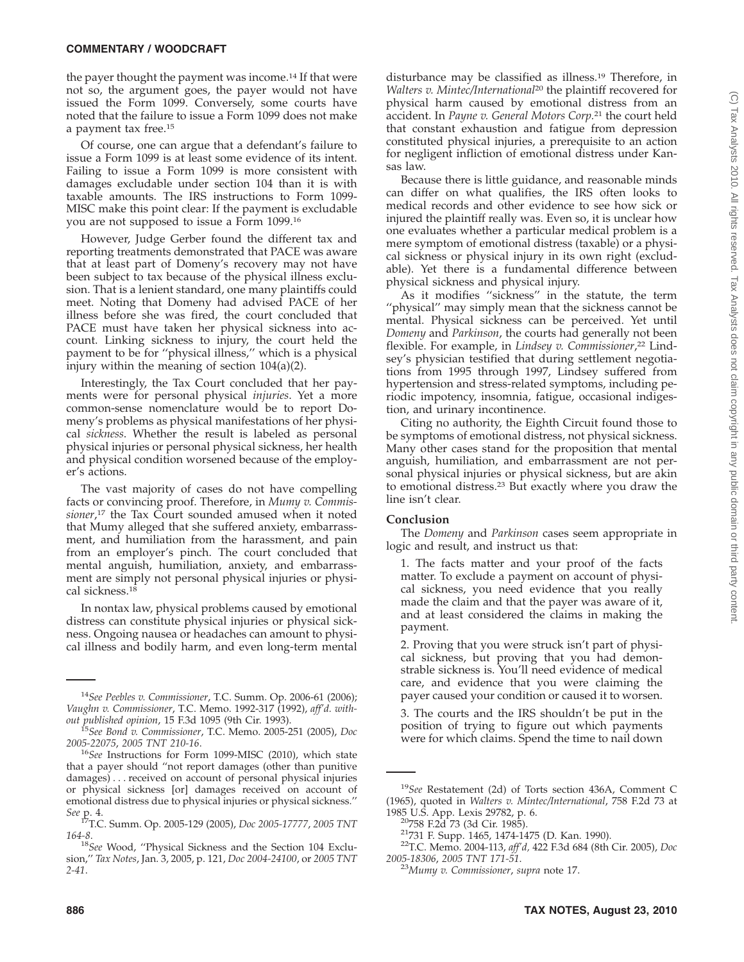#### **COMMENTARY / WOODCRAFT**

the payer thought the payment was income.14 If that were not so, the argument goes, the payer would not have issued the Form 1099. Conversely, some courts have noted that the failure to issue a Form 1099 does not make a payment tax free.15

Of course, one can argue that a defendant's failure to issue a Form 1099 is at least some evidence of its intent. Failing to issue a Form 1099 is more consistent with damages excludable under section 104 than it is with taxable amounts. The IRS instructions to Form 1099- MISC make this point clear: If the payment is excludable you are not supposed to issue a Form 1099.16

However, Judge Gerber found the different tax and reporting treatments demonstrated that PACE was aware that at least part of Domeny's recovery may not have been subject to tax because of the physical illness exclusion. That is a lenient standard, one many plaintiffs could meet. Noting that Domeny had advised PACE of her illness before she was fired, the court concluded that PACE must have taken her physical sickness into account. Linking sickness to injury, the court held the payment to be for ''physical illness,'' which is a physical injury within the meaning of section 104(a)(2).

Interestingly, the Tax Court concluded that her payments were for personal physical *injuries*. Yet a more common-sense nomenclature would be to report Domeny's problems as physical manifestations of her physical *sickness*. Whether the result is labeled as personal physical injuries or personal physical sickness, her health and physical condition worsened because of the employer's actions.

The vast majority of cases do not have compelling facts or convincing proof. Therefore, in *Mumy v. Commissioner*, <sup>17</sup> the Tax Court sounded amused when it noted that Mumy alleged that she suffered anxiety, embarrassment, and humiliation from the harassment, and pain from an employer's pinch. The court concluded that mental anguish, humiliation, anxiety, and embarrassment are simply not personal physical injuries or physical sickness.18

In nontax law, physical problems caused by emotional distress can constitute physical injuries or physical sickness. Ongoing nausea or headaches can amount to physical illness and bodily harm, and even long-term mental

disturbance may be classified as illness.19 Therefore, in *Walters v. Mintec/International*<sup>20</sup> the plaintiff recovered for physical harm caused by emotional distress from an accident. In *Payne v. General Motors Corp.*<sup>21</sup> the court held that constant exhaustion and fatigue from depression constituted physical injuries, a prerequisite to an action for negligent infliction of emotional distress under Kansas law.

Because there is little guidance, and reasonable minds can differ on what qualifies, the IRS often looks to medical records and other evidence to see how sick or injured the plaintiff really was. Even so, it is unclear how one evaluates whether a particular medical problem is a mere symptom of emotional distress (taxable) or a physical sickness or physical injury in its own right (excludable). Yet there is a fundamental difference between physical sickness and physical injury.

As it modifies ''sickness'' in the statute, the term ''physical'' may simply mean that the sickness cannot be mental. Physical sickness can be perceived. Yet until *Domeny* and *Parkinson*, the courts had generally not been flexible. For example, in *Lindsey v. Commissioner*, <sup>22</sup> Lindsey's physician testified that during settlement negotiations from 1995 through 1997, Lindsey suffered from hypertension and stress-related symptoms, including periodic impotency, insomnia, fatigue, occasional indigestion, and urinary incontinence.

Citing no authority, the Eighth Circuit found those to be symptoms of emotional distress, not physical sickness. Many other cases stand for the proposition that mental anguish, humiliation, and embarrassment are not personal physical injuries or physical sickness, but are akin to emotional distress.23 But exactly where you draw the line isn't clear.

#### **Conclusion**

The *Domeny* and *Parkinson* cases seem appropriate in logic and result, and instruct us that:

1. The facts matter and your proof of the facts matter. To exclude a payment on account of physical sickness, you need evidence that you really made the claim and that the payer was aware of it, and at least considered the claims in making the payment.

2. Proving that you were struck isn't part of physical sickness, but proving that you had demonstrable sickness is. You'll need evidence of medical care, and evidence that you were claiming the payer caused your condition or caused it to worsen.

3. The courts and the IRS shouldn't be put in the position of trying to figure out which payments were for which claims. Spend the time to nail down

<sup>14</sup>*See Peebles v. Commissioner*, T.C. Summ. Op. 2006-61 (2006); *Vaughn v. Commissioner*, T.C. Memo. 1992-317 (1992), *aff'd. with-*

<sup>&</sup>lt;sup>15</sup> See Bond v. Commissioner, T.C. Memo. 2005-251 (2005), *Doc* 2005-22075, 2005 TNT 210-16.

<sup>&</sup>lt;sup>16</sup>See Instructions for Form 1099-MISC (2010), which state that a payer should ''not report damages (other than punitive damages)... received on account of personal physical injuries or physical sickness [or] damages received on account of emotional distress due to physical injuries or physical sickness.''

*See* p. 4. 17T.C. Summ. Op. 2005-129 (2005), *Doc 2005-17777*, *2005 TNT*

*<sup>164-8</sup>*. <sup>18</sup>*See* Wood, ''Physical Sickness and the Section 104 Exclusion,'' *Tax Notes*, Jan. 3, 2005, p. 121, *Doc 2004-24100*, or *2005 TNT 2-41*.

<sup>19</sup>*See* Restatement (2d) of Torts section 436A, Comment C (1965), quoted in *Walters v. Mintec/International*, 758 F.2d 73 at

<sup>&</sup>lt;sup>20</sup>758 F.2d 73 (3d Cir. 1985).<br><sup>21</sup>731 F. Supp. 1465, 1474-1475 (D. Kan. 1990).<br><sup>22</sup>T.C. Memo. 2004-113, *aff'd*, 422 F.3d 684 (8th Cir. 2005), *Doc 2005-18306*, *2005 TNT 171-51*. <sup>23</sup>*Mumy v. Commissioner*, *supra* note 17.